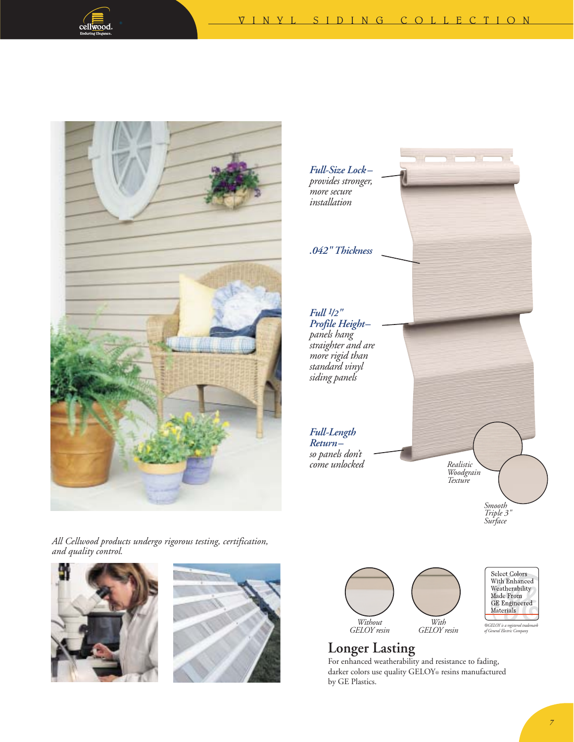





*All Cellwood products undergo rigorous testing, certification, and quality control.*







## **Longer Lasting**

For enhanced weatherability and resistance to fading, darker colors use quality GELOY® resins manufactured by GE Plastics.